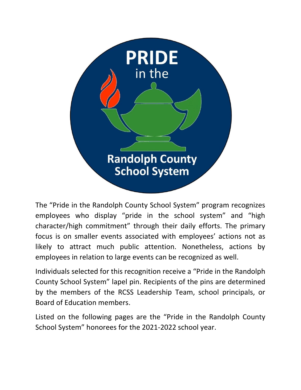

The "Pride in the Randolph County School System" program recognizes employees who display "pride in the school system" and "high character/high commitment" through their daily efforts. The primary focus is on smaller events associated with employees' actions not as likely to attract much public attention. Nonetheless, actions by employees in relation to large events can be recognized as well.

Individuals selected for this recognition receive a "Pride in the Randolph County School System" lapel pin. Recipients of the pins are determined by the members of the RCSS Leadership Team, school principals, or Board of Education members.

Listed on the following pages are the "Pride in the Randolph County School System" honorees for the 2021-2022 school year.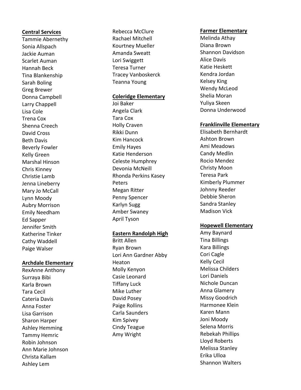#### **Central Services**

Tammie Abernethy Sonia Allspach Jackie Auman Scarlet Auman Hannah Beck Tina Blankenship Sarah Boling Greg Brewer Donna Campbell Larry Chappell Lisa Cole Trena Cox Shenna Creech David Cross Beth Davis Beverly Fowler Kelly Green Marshal Hinson Chris Kinney Christie Lamb Jenna Lineberry Mary Jo McCall Lynn Moody Aubry Morrison Emily Needham Ed Sapper Jennifer Smith Katherine Tinker Cathy Waddell Paige Walser

#### **Archdale Elementary**

RexAnne Anthony Surraya Bibi Karla Brown Tara Cecil Cateria Davis Anna Foster Lisa Garrison Sharon Harper Ashley Hemming Tammy Hemric Robin Johnson Ann Marie Johnson Christa Kallam Ashley Lem

Rebecca McClure Rachael Mitchell Kourtney Mueller Amanda Sweatt Lori Swiggett Teresa Turner Tracey Vanboskerck Teanna Young

#### **Coleridge Elementary**

Joi Baker Angela Clark Tara Cox Holly Craven Rikki Dunn Kim Hancock Emily Hayes Katie Henderson Celeste Humphrey Devonia McNeill Rhonda Perkins Kasey Peters Megan Ritter Penny Spencer Karlyn Sugg Amber Swaney April Tyson

## **Eastern Randolph High**

Britt Allen Ryan Brown Lori Ann Gardner Abby Heaton Molly Kenyon Casie Leonard Tiffany Luck Mike Luther David Posey Paige Rollins Carla Saunders Kim Spivey Cindy Teague Amy Wright

#### **Farmer Elementary**

Melinda Athay Diana Brown Shannon Davidson Alice Davis Katie Heskett Kendra Jordan Kelsey King Wendy McLeod Shelia Moran Yuliya Skeen Donna Underwood

#### **Franklinville Elementary**

Elisabeth Bernhardt Ashton Brown Ami Meadows Candy Medlin Rocio Mendez Christy Moon Teresa Park Kimberly Plummer Johnny Reeder Debbie Sheron Sandra Stanley Madison Vick

#### **Hopewell Elementary**

Amy Baynard Tina Billings Kara B illings Cori Cagle Kelly Cecil Melissa Childers Lori Daniels Nichole Duncan Anna Glamery Missy Goodrich Harmonee Klein Karen Mann Joni Moody Selena Morris Rebekah Phillips Lloyd Roberts Melissa Stanley Erika Ulloa Shannon Walters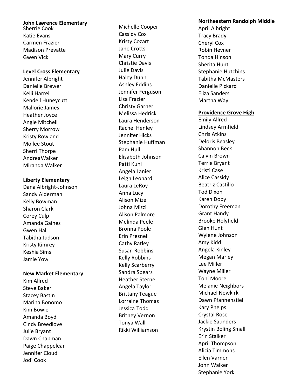# **John Lawrence Elementary**

**Sherrie Cook** Katie Evans Carmen Frazier Madison Prevatte Gwen Vick

### **Level Cross Elementary**

Jennifer Albright Danielle Brewer Kelli Harrell Kendell Huneycutt Mallorie James Heather Joyce Angie Mitchell Sherry Morrow Kristy Rowland Mollee Stout Sherri Thorpe Andrea Walker Miranda Walker

## **Liberty Elementary**

Dana Albright-Johnson Sandy Alderman Kelly Bowman Sharon Clark Corey Culp Amanda Gaines Gwen Hall Tabitha Judson Kristy Kimrey Keshia Sims Jamie Yow

### **New Market Elementary**

Kim Allred Steve Baker Stacey Bastin Marina Bonomo Kim Bowie Amanda Boyd Cindy Breedlove Julie Bryant Dawn Chapman Paige Chappelear Jennifer Cloud Jodi Cook

Michelle Cooper Cassidy Cox Kristy Cozart Jane Crotts Mary Curry Christie Davis Julie Davis Haley Dunn Ashley Eddins Jennifer Ferguson Lisa Frazier Christy Garner Melissa Hedrick Laura Henderson Rachel Henley Jennifer Hicks Stephanie Huffman Pam Hull Elisabeth Johnson Patti Kuhl Angela Lanier Leigh Leonard Laura LeRoy Anna Lucy Alison Mize Johna Mizzi Alison Palmore Melinda Peele Bronna Poole Erin Presnell Cathy Ratley Susan Robbins Kelly Robbins Kelly Scarberry Sandra Spears Heather Sterne Angela Taylor Brittany Teague Lorraine Thomas Jessica Todd Britney Vernon Tonya Wall Rikki Williamson

## **Northeastern Randolph Middle**

April Albright Tracy Brady Cheryl Cox Robin Hevner Tonda Hinson Sherita Hunt Stephanie Hutchins Tabitha McMasters Danielle Pickard Eliza Sanders Martha Way

## **Providence Grove High**

Emily Allred Lindsey Armfield Chris Atkins Deloris Beasley Shannon Beck Calvin Brown Terrie Bryant Kristi Case Alice Cassidy Beatriz Castillo Tod Dixon Karen Doby Dorothy Freeman Grant Handy Brooke Holyfield Glen Hunt Wylene Johnson Amy Kidd Angela Kinley Megan Marley Lee Miller Wayne Miller Toni Moore Melanie Neighbors Michael Newkirk Dawn Pfannenstiel Kary Phelps Crystal Rose Jackie Saunders Krystin Boling Small Erin Stalker April Thompson Alicia Timmons Ellen Varner John Walker Stephanie York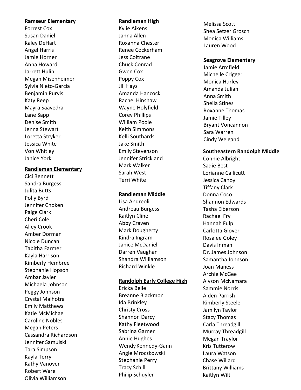#### **Ramseur Elementary**

Forrest Cox Susan Daniel Kaley DeHart Angel Harris Jamie Horner Anna Howard Jarrett Hulin Megan Misenheimer Sylvia Nieto -Garcia Benjamin Purvis Katy Reep Mayra Saavedra Lane Sapp Denise Smith Jenna Stewart Loretta Stryker Jessica White Von Whitley Janice York

### **Randleman Elementary**

Cici Bennett Sandra Burgess Julita Butts Polly Byrd Jennifer Choken Paige Clark Cheri Cole Alley Crook Amber Dorman Nicole Duncan Tabitha Farmer Kayla Harrison Kimberly Hembree Stephanie Hopson Ambar Javier Michaela Johnson Peggy Johnson Crystal Malhotra Emily Matthews Katie McMichael Caroline Nobles Megan Peters Cassandra Richardson Jennifer Samulski Tara Simpson Kayla Terry Kathy Vanover Robert Ware Olivia Williamson

### **Randleman High**

Kylie Aikens Janna Allen Roxanna Chester Renee Cockerham Jess Coltrane Chuck Conrad Gwen Cox Poppy Cox Jill Hays Amanda Hancock Rachel Hinshaw Wayne Holyfield Corey Phillips William Poole Keith Simmons Kell i Southards Jake Smith Emily Stevenson Jennifer Strickland Mark Walker Sarah West Terri White

#### **Randleman Middle**

Lisa Andreoli Andreau Burgess Kaitlyn Cline Abby Craven Mark Dougherty Kindra Ingram Janice McDaniel Darren Vaughan Shandra Williamson Richard Winkle

### **Randolph Early College High**

Ericka Belle Breanne Blackmon Ida Brinkley Christy Cross Shannon Darcy Kathy Fleetwood Sabrina Garner Annie Hughes WendyKennedy -Gann Angie Mroczkowski Stephanie Perry Tracy Schill Philip Schuyler

Melissa Scott Shea Setzer Grosch Monica Williams Lauren Wood

### **Seagrove Elementary**

Jamie Armfield Michelle Crigger Monica Hurley Amanda Julian Anna Smith Sheila Stines Roxanne Thomas Jamie Tilley Bryant Voncannon Sara Warren Cindy Weigand

## **Southeastern Randolph Middle**

Connie Albright Sadie Best Lorianne Callicutt Jessica Canoy Tiffany Clark Donna Coco Shannon Edwards Tasha Elberson Rachael Fry Hannah Fulp Carlotta Glover Rosalee Goley Davis Inman Dr. James Johnson Samantha Johnson Joan Maness Archie McGee Alyson McNamara Sammie Norris Alden Parrish Kimberly Steele Jamilyn Taylor Stacy Thomas Carla Threadgill Murray Threadgill Megan Traylor Kris Tutterow Laura Watson Chase Willar d Brittany Williams Kaitlyn Wilt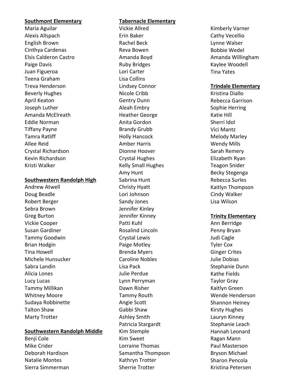#### **Southmont Elementary**

Maria Aguilar Alexis Allspach English Brown Cinthya Cardenas Elsis Calderon Castro Paige Davis Juan Figueroa Teena Graham Treva Henderson Beverly Hughes April Keaton Joseph Luther Amanda McElreath Eddie Norman Tiffany Payne Tamra Ratliff Allee Reid Crystal Richardson Kevin Richardson Kristi Walker

## **Southwestern Randolph High**

Andrew Atwell Doug Beadle Robert Berger Sebra Brown Greg Burton Vickie Cooper Susan Gardiner Tammy Goodwin Brian Hodgin Tina Howell Michele Hunsucker Sabra Landin Alicia Lones Lucy Lucas Tammy Millikan Whitney Moore Sudaya Robbinette Talton Shaw Marty Trotter

### **Southwestern Randolph Middle**

Benji Cole Mike Crider Deborah Hardison Natalie Montes Sierra Simmerman

## **Tabernacle Elementary**

Vickie Allred Erin Baker Rachel Beck Reva Bowen Amanda Boyd Ruby Bridges Lori Carter Lisa Collins Lindsey Connor Nicole Cribb Gentry Dunn Aleah Embry Heather George Anita Gordon Brandy Grubb Holly Hancock Amber Harris Dionne Hoover Crystal Hughes Kelly Small Hughes Amy Hunt Sabrina Hunt Christy Hyatt Lori Johnson Sandy Jones Jennifer Kinley Jennifer Kinney Patti Kuhl Rosalind Lincoln Crystal Lewis Paige Motley Brenda Myers Caroline Nobles Lisa Pack Julie Perdue Lynn Perryman Dawn Risher Tammy Routh Angie Scott Gabbi Shaw Ashley Smith Patricia Stargardt Kim Stemple Kim Sweet Lorraine Thomas Samantha Thompson Kathryn Trotter Sherrie Trotter

Kimberly Varner Cathy Vecellio Lynne Walser Bobbie Wedel Amanda Willingham Kaylee Woodell Tina Yates

## **Trindale Elementary**

Kristina Diallo Rebecca Garrison Sophie Herring Katie Hill Sherri Idol Vici Mantz Melody Marley Wendy Mills Sarah Remery Elizabeth Ryan Teagon Snider Becky Stegenga Rebecca Surles Kaitlyn Thompson Cindy Walker Lisa Wilson

## **Trinity Elementary**

Ann Berridge Penny Bryan Judi Cagle Tyler Cox Ginger Crites Julie Dobias Stephanie Dunn Kathe Fields Taylor Gray Kaitlyn Green Wende Henderson Shannon Heiney Kirsty Hughes Lauryn Kinney Stephanie Leach Hannah Leonard Ragan Mann Paul Masterson Bryson Michael Sharon Pencola Kristina Petersen